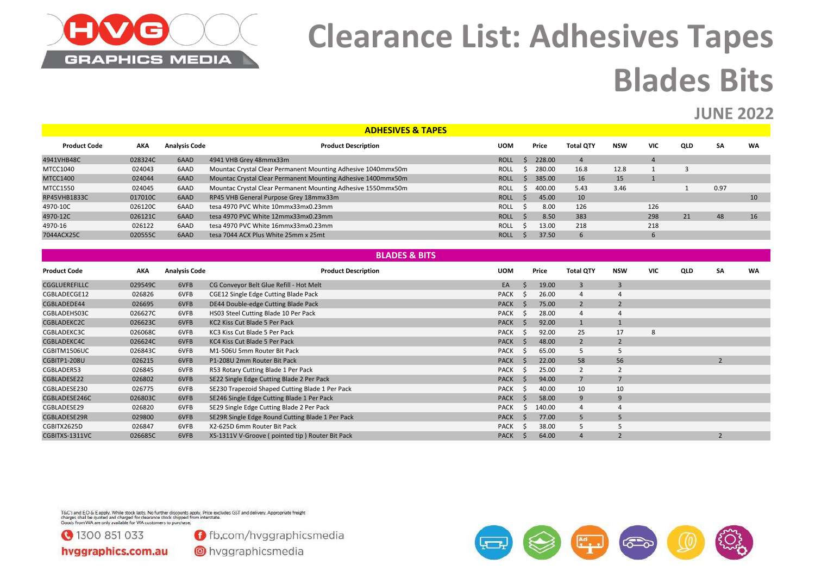

# **Clearance List: Adhesives Tapes Blades Bits**

#### **JUNE 2022**

|                     |            |                      | <b>ADHESIVES &amp; TAPES</b>                                 |             |        |                  |            |                |     |      |           |
|---------------------|------------|----------------------|--------------------------------------------------------------|-------------|--------|------------------|------------|----------------|-----|------|-----------|
| <b>Product Code</b> | <b>AKA</b> | <b>Analysis Code</b> | <b>Product Description</b>                                   | <b>UOM</b>  | Price  | <b>Total QTY</b> | <b>NSW</b> | <b>VIC</b>     | QLD | SΑ   | <b>WA</b> |
| 4941VHB48C          | 028324C    | 6AAD                 | 4941 VHB Grey 48mmx33m                                       | <b>ROLL</b> | 228.00 | 4                |            | $\overline{4}$ |     |      |           |
| MTCC1040            | 024043     | 6AAD                 | Mountac Crystal Clear Permanent Mounting Adhesive 1040mmx50m | <b>ROLL</b> | 280.00 | 16.8             | 12.8       |                |     |      |           |
| <b>MTCC1400</b>     | 024044     | 6AAD                 | Mountac Crystal Clear Permanent Mounting Adhesive 1400mmx50m | <b>ROLL</b> | 385.00 | 16               | 15         |                |     |      |           |
| <b>MTCC1550</b>     | 024045     | 6AAD                 | Mountac Crystal Clear Permanent Mounting Adhesive 1550mmx50m | <b>ROLL</b> | 400.00 | 5.43             | 3.46       |                |     | 0.97 |           |
| RP45VHB1833C        | 017010C    | 6AAD                 | RP45 VHB General Purpose Grey 18mmx33m                       | <b>ROLL</b> | 45.00  | 10               |            |                |     |      | 10        |
| 4970-10C            | 026120C    | 6AAD                 | tesa 4970 PVC White 10mmx33mx0.23mm                          | <b>ROLL</b> | 8.00   | 126              |            | 126            |     |      |           |
| 4970-12C            | 026121C    | 6AAD                 | tesa 4970 PVC White 12mmx33mx0.23mm                          | <b>ROLL</b> | 8.50   | 383              |            | 298            | 21  | 48   | 16        |
| 4970-16             | 026122     | 6AAD                 | tesa 4970 PVC White 16mmx33mx0.23mm                          | <b>ROLL</b> | 13.00  | 218              |            | 218            |     |      |           |
| 7044ACX25C          | 020555C    | 6AAD                 | tesa 7044 ACX Plus White 25mm x 25mt                         | <b>ROLL</b> | 37.50  | $\mathbf b$      |            |                |     |      |           |

|                      |         |                      | <b>BLADES &amp; BITS</b>                         |             |                          |        |                  |                |            |     |    |           |
|----------------------|---------|----------------------|--------------------------------------------------|-------------|--------------------------|--------|------------------|----------------|------------|-----|----|-----------|
| <b>Product Code</b>  | AKA     | <b>Analysis Code</b> | <b>Product Description</b>                       | <b>UOM</b>  |                          | Price  | <b>Total QTY</b> | <b>NSW</b>     | <b>VIC</b> | QLD | SA | <b>WA</b> |
| <b>CGGLUEREFILLC</b> | 029549C | 6VFB                 | CG Conveyor Belt Glue Refill - Hot Melt          | EA          |                          | 19.00  | 3                | 3              |            |     |    |           |
| CGBLADECGE12         | 026826  | 6VFB                 | CGE12 Single Edge Cutting Blade Pack             | <b>PACK</b> |                          | 26.00  | 4                |                |            |     |    |           |
| CGBLADEDE44          | 026695  | 6VFB                 | DE44 Double-edge Cutting Blade Pack              | <b>PACK</b> |                          | 75.00  | $\overline{2}$   | $\overline{2}$ |            |     |    |           |
| CGBLADEHS03C         | 026627C | 6VFB                 | HS03 Steel Cutting Blade 10 Per Pack             | <b>PACK</b> | - S                      | 28.00  | 4                |                |            |     |    |           |
| CGBLADEKC2C          | 026623C | 6VFB                 | KC2 Kiss Cut Blade 5 Per Pack                    | <b>PACK</b> | -S                       | 92.00  |                  |                |            |     |    |           |
| CGBLADEKC3C          | 026068C | 6VFB                 | KC3 Kiss Cut Blade 5 Per Pack                    | <b>PACK</b> | - S                      | 92.00  | 25               | 17             | 8          |     |    |           |
| CGBLADEKC4C          | 026624C | 6VFB                 | KC4 Kiss Cut Blade 5 Per Pack                    | <b>PACK</b> | -S                       | 48.00  | $\overline{2}$   | $\overline{2}$ |            |     |    |           |
| CGBITM1506UC         | 026843C | 6VFB                 | M1-506U 5mm Router Bit Pack                      | <b>PACK</b> | -S                       | 65.00  | 5                | 5              |            |     |    |           |
| CGBITP1-208U         | 026215  | 6VFB                 | P1-208U 2mm Router Bit Pack                      | <b>PACK</b> |                          | 22.00  | 58               | 56             |            |     |    |           |
| CGBLADER53           | 026845  | 6VFB                 | R53 Rotary Cutting Blade 1 Per Pack              | <b>PACK</b> |                          | 25.00  | $\overline{2}$   |                |            |     |    |           |
| CGBLADESE22          | 026802  | 6VFB                 | SE22 Single Edge Cutting Blade 2 Per Pack        | <b>PACK</b> |                          | 94.00  | 7                | $\overline{ }$ |            |     |    |           |
| CGBLADESE230         | 026775  | 6VFB                 | SE230 Trapezoid Shaped Cutting Blade 1 Per Pack  | <b>PACK</b> | -S                       | 40.00  | 10               | 10             |            |     |    |           |
| CGBLADESE246C        | 026803C | 6VFB                 | SE246 Single Edge Cutting Blade 1 Per Pack       | <b>PACK</b> |                          | 58.00  | 9                | 9              |            |     |    |           |
| CGBLADESE29          | 026820  | 6VFB                 | SE29 Single Edge Cutting Blade 2 Per Pack        | <b>PACK</b> | $\overline{\phantom{a}}$ | 140.00 | 4                |                |            |     |    |           |
| CGBLADESE29R         | 029800  | 6VFB                 | SE29R Single Edge Round Cutting Blade 1 Per Pack | <b>PACK</b> | -5                       | 77.00  | 5                |                |            |     |    |           |
| CGBITX2625D          | 026847  | 6VFB                 | X2-625D 6mm Router Bit Pack                      | <b>PACK</b> | - S                      | 38.00  |                  |                |            |     |    |           |
| CGBITXS-1311VC       | 026685C | 6VFB                 | XS-1311V V-Groove (pointed tip) Router Bit Pack  | <b>PACK</b> |                          | 64.00  | 4                |                |            |     |    |           |

T&C's and E.O & E apply. While stock lasts. No further discounts apply. Price excludes GST and delivery. Appropriate freight<br>charges shall be quoted and charged for clearance stock shipped from interstate.<br>Goods from WA ar



**f** fb.com/hvggraphicsmedia

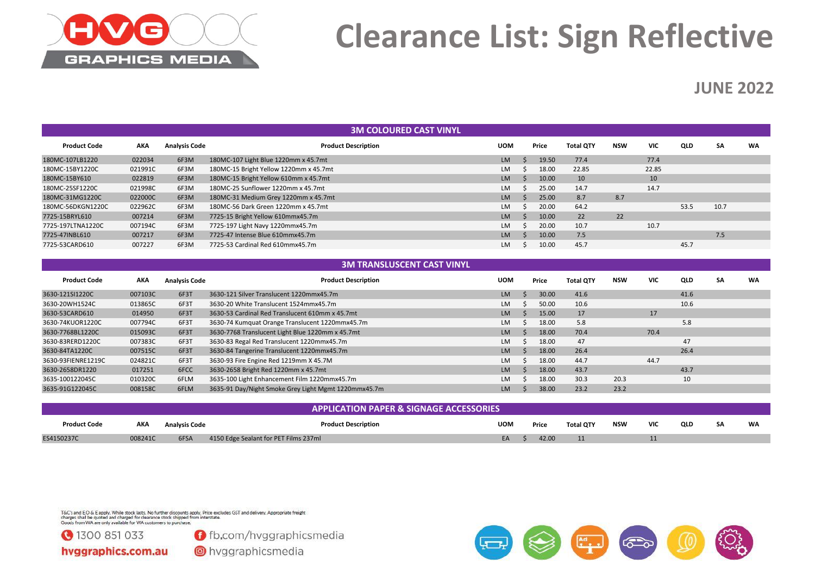

## **Clearance List: Sign Reflective**

### **JUNE 2022**

|                     |         |                      | <b>3M COLOURED CAST VINYL</b>          |            |       |                  |            |            |      |      |           |
|---------------------|---------|----------------------|----------------------------------------|------------|-------|------------------|------------|------------|------|------|-----------|
| <b>Product Code</b> | AKA     | <b>Analysis Code</b> | <b>Product Description</b>             | <b>UOM</b> | Price | <b>Total QTY</b> | <b>NSW</b> | <b>VIC</b> | QLD  | SA   | <b>WA</b> |
| 180MC-107LB1220     | 022034  | 6F3M                 | 180MC-107 Light Blue 1220mm x 45.7mt   | <b>LM</b>  | 19.50 | 77.4             |            | 77.4       |      |      |           |
| 180MC-15BY1220C     | 021991C | 6F3M                 | 180MC-15 Bright Yellow 1220mm x 45.7mt | <b>LM</b>  | 18.00 | 22.85            |            | 22.85      |      |      |           |
| 180MC-15BY610       | 022819  | 6F3M                 | 180MC-15 Bright Yellow 610mm x 45.7mt  | <b>LM</b>  | 10.00 | 10               |            | 10         |      |      |           |
| 180MC-25SF1220C     | 021998C | 6F3M                 | 180MC-25 Sunflower 1220mm x 45.7mt     | <b>LM</b>  | 25.00 | 14.7             |            | 14.7       |      |      |           |
| 180MC-31MG1220C     | 022000C | 6F3M                 | 180MC-31 Medium Grey 1220mm x 45.7mt   | <b>LM</b>  | 25.00 | 8.7              | 8.7        |            |      |      |           |
| 180MC-56DKGN1220C   | 022962C | 6F3M                 | 180MC-56 Dark Green 1220mm x 45.7mt    | <b>LM</b>  | 20.00 | 64.2             |            |            | 53.5 | 10.7 |           |
| 7725-15BRYL610      | 007214  | 6F3M                 | 7725-15 Bright Yellow 610mmx45.7m      | <b>LM</b>  | 10.00 | 22               | 22         |            |      |      |           |
| 7725-197LTNA1220C   | 007194C | 6F3M                 | 7725-197 Light Navy 1220mmx45.7m       | <b>LM</b>  | 20.00 | 10.7             |            | 10.7       |      |      |           |
| 7725-47INBL610      | 007217  | 6F3M                 | 7725-47 Intense Blue 610mmx45.7m       | <b>LM</b>  | 10.00 | 7.5              |            |            |      | 7.5  |           |
| 7725-53CARD610      | 007227  | 6F3M                 | 7725-53 Cardinal Red 610mmx45.7m       | LM         | 10.00 | 45.7             |            |            | 45.7 |      |           |

#### **3M TRANSLUSCENT CAST VINYL**

| <b>Product Code</b> | AKA     | <b>Analysis Code</b> | <b>Product Description</b>                           | <b>UOM</b> | Price | <b>Total QTY</b> | <b>NSW</b> | <b>VIC</b> | QLD  | SA | <b>WA</b> |
|---------------------|---------|----------------------|------------------------------------------------------|------------|-------|------------------|------------|------------|------|----|-----------|
| 3630-121SI1220C     | 007103C | 6F3T                 | 3630-121 Silver Translucent 1220mmx45.7m             | <b>LM</b>  | 30.00 | 41.6             |            |            | 41.6 |    |           |
| 3630-20WH1524C      | 013865C | 6F3T                 | 3630-20 White Translucent 1524mmx45.7m               | LM         | 50.00 | 10.6             |            |            | 10.6 |    |           |
| 3630-53CARD610      | 014950  | 6F3T                 | 3630-53 Cardinal Red Translucent 610mm x 45.7mt      | <b>LM</b>  | 15.00 | 17               |            | 17         |      |    |           |
| 3630-74KUOR1220C    | 007794C | 6F3T                 | 3630-74 Kumquat Orange Translucent 1220mmx45.7m      | LM         | 18.00 | 5.8              |            |            | 5.8  |    |           |
| 3630-7768BL1220C    | 015093C | 6F3T                 | 3630-7768 Translucent Light Blue 1220mm x 45.7mt     | <b>LM</b>  | 18.00 | 70.4             |            | 70.4       |      |    |           |
| 3630-83RERD1220C    | 007383C | 6F3T                 | 3630-83 Regal Red Translucent 1220mmx45.7m           | LM         | 18.00 | 47               |            |            | 47   |    |           |
| 3630-84TA1220C      | 007515C | 6F3T                 | 3630-84 Tangerine Translucent 1220mmx45.7m           | <b>LM</b>  | 18.00 | 26.4             |            |            | 26.4 |    |           |
| 3630-93FIENRE1219C  | 024821C | 6F3T                 | 3630-93 Fire Engine Red 1219mm X 45.7M               | <b>LM</b>  | 18.00 | 44.7             |            | 44.7       |      |    |           |
| 3630-2658DR1220     | 017251  | 6FCC                 | 3630-2658 Bright Red 1220mm x 45.7mt                 | <b>LM</b>  | 18.00 | 43.7             |            |            | 43.7 |    |           |
| 3635-100122045C     | 010320C | 6FLM                 | 3635-100 Light Enhancement Film 1220mmx45.7m         | LM         | 18.00 | 30.3             | 20.3       |            | 10   |    |           |
| 3635-91G122045C     | 008158C | 6FLM                 | 3635-91 Day/Night Smoke Grey Light Mgmt 1220mmx45.7m | LM         | 38.00 | 23.2             | 23.2       |            |      |    |           |

|                     |         |               | <b>APPLICATION PAPER &amp; SIGNAGE ACCESSORIES</b> |            |       |           |            |            |     |    |           |
|---------------------|---------|---------------|----------------------------------------------------|------------|-------|-----------|------------|------------|-----|----|-----------|
| <b>Product Code</b> | AKA     | Analysis Code | <b>Product Description</b>                         | <b>UOM</b> | Price | Total QTY | <b>NSW</b> | <b>VIC</b> | QLD | SA | <b>WA</b> |
| ES4150237C          | 008241C | 6FSA          | 4150 Edge Sealant for PET Films 237ml              | EA         | 42.00 |           |            |            |     |    |           |

T&C's and E.O & E apply. While stock lasts. No further discounts apply. Price excludes GST and delivery. Appropriate freight<br>charges shall be quoted and charged for clearance stock shipped from interstate.<br>Goods from WA ar

31300 851 033

**O** fb.com/hvggraphicsmedia

hvggraphics.com.au

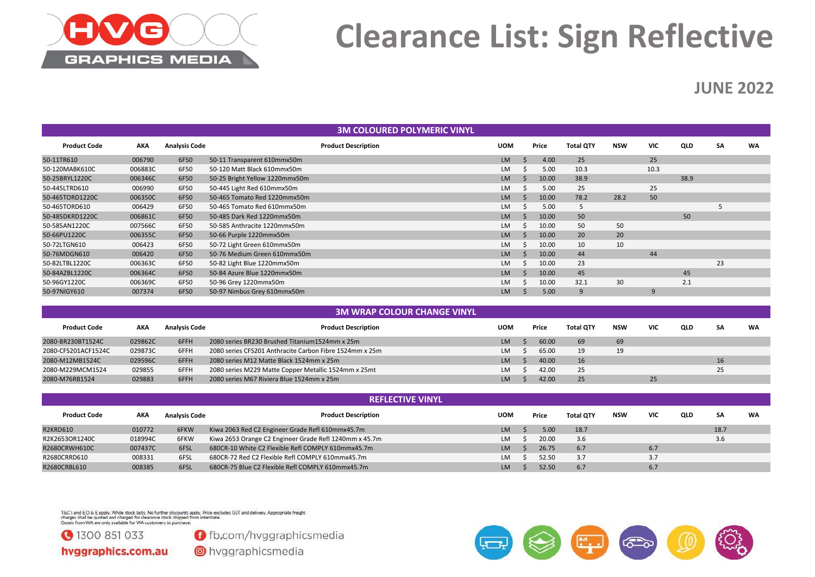

## **Clearance List: Sign Reflective**

### **JUNE 2022**

|                     |            |                      |                                | <b>3M COLOURED POLYMERIC VINYL</b> |            |       |                  |            |            |      |           |           |
|---------------------|------------|----------------------|--------------------------------|------------------------------------|------------|-------|------------------|------------|------------|------|-----------|-----------|
| <b>Product Code</b> | <b>AKA</b> | <b>Analysis Code</b> |                                | <b>Product Description</b>         | <b>UOM</b> | Price | <b>Total QTY</b> | <b>NSW</b> | <b>VIC</b> | QLD  | <b>SA</b> | <b>WA</b> |
| 50-11TR610          | 006790     | 6F50                 | 50-11 Transparent 610mmx50m    |                                    | <b>LM</b>  | 4.00  | 25               |            | 25         |      |           |           |
| 50-120MABK610C      | 006883C    | 6F50                 | 50-120 Matt Black 610mmx50m    |                                    | <b>LM</b>  | 5.00  | 10.3             |            | 10.3       |      |           |           |
| 50-25BRYL1220C      | 006346C    | 6F50                 | 50-25 Bright Yellow 1220mmx50m |                                    | <b>LM</b>  | 10.00 | 38.9             |            |            | 38.9 |           |           |
| 50-445LTRD610       | 006990     | 6F50                 | 50-445 Light Red 610mmx50m     |                                    | <b>LM</b>  | 5.00  | 25               |            | 25         |      |           |           |
| 50-465TORD1220C     | 006350C    | 6F50                 | 50-465 Tomato Red 1220mmx50m   |                                    | <b>LM</b>  | 10.00 | 78.2             | 28.2       | 50         |      |           |           |
| 50-465TORD610       | 006429     | 6F50                 | 50-465 Tomato Red 610mmx50m    |                                    | <b>LM</b>  | 5.00  | 5                |            |            |      |           |           |
| 50-485DKRD1220C     | 006861C    | 6F50                 | 50-485 Dark Red 1220mmx50m     |                                    | <b>LM</b>  | 10.00 | 50               |            |            | 50   |           |           |
| 50-585AN1220C       | 007566C    | 6F50                 | 50-585 Anthracite 1220mmx50m   |                                    | <b>LM</b>  | 10.00 | 50               | 50         |            |      |           |           |
| 50-66PU1220C        | 006355C    | 6F50                 | 50-66 Purple 1220mmx50m        |                                    | <b>LM</b>  | 10.00 | 20               | 20         |            |      |           |           |
| 50-72LTGN610        | 006423     | 6F50                 | 50-72 Light Green 610mmx50m    |                                    | <b>LM</b>  | 10.00 | 10               | 10         |            |      |           |           |
| 50-76MDGN610        | 006420     | 6F50                 | 50-76 Medium Green 610mmx50m   |                                    | <b>LM</b>  | 10.00 | 44               |            | 44         |      |           |           |
| 50-82LTBL1220C      | 006363C    | 6F50                 | 50-82 Light Blue 1220mmx50m    |                                    | <b>LM</b>  | 10.00 | 23               |            |            |      | 23        |           |
| 50-84AZBL1220C      | 006364C    | 6F50                 | 50-84 Azure Blue 1220mmx50m    |                                    | <b>LM</b>  | 10.00 | 45               |            |            | 45   |           |           |
| 50-96GY1220C        | 006369C    | 6F50                 | 50-96 Grey 1220mmx50m          |                                    | <b>LM</b>  | 10.00 | 32.1             | 30         |            | 2.1  |           |           |
| 50-97NIGY610        | 007374     | 6F50                 | 50-97 Nimbus Grey 610mmx50m    |                                    | <b>LM</b>  | 5.00  | 9                |            | 9          |      |           |           |

|                     |         |                      | <b>3M WRAP COLOUR CHANGE VINYL</b>                      |            |       |                  |            |            |     |    |           |
|---------------------|---------|----------------------|---------------------------------------------------------|------------|-------|------------------|------------|------------|-----|----|-----------|
| <b>Product Code</b> | AKA     | <b>Analysis Code</b> | <b>Product Description</b>                              | <b>UOM</b> | Price | <b>Total OTY</b> | <b>NSW</b> | <b>VIC</b> | QLD | SA | <b>WA</b> |
| 2080-BR230BT1524C   | 029862C | 6FFH                 | 2080 series BR230 Brushed Titanium1524mm x 25m          | LM         | 60.00 | 69               | 69         |            |     |    |           |
| 2080-CFS201ACF1524C | 029873C | 6FFH                 | 2080 series CFS201 Anthracite Carbon Fibre 1524mm x 25m | <b>LM</b>  | 65.00 | 19               | 19         |            |     |    |           |
| 2080-M12MB1524C     | 029596C | 6FFH                 | 2080 series M12 Matte Black 1524mm x 25m                | LM.        | 40.00 | 16               |            |            |     | 16 |           |
| 2080-M229MCM1524    | 029855  | 6FFH                 | 2080 series M229 Matte Copper Metallic 1524mm x 25mt    | LM         | 42.00 | 25               |            |            |     | 25 |           |
| 2080-M76RB1524      | 029883  | 6FFH                 | 2080 series M67 Riviera Blue 1524mm x 25m               | LM         | 42.00 | 25               |            | 25         |     |    |           |

|                     |         |                      | <b>REFLECTIVE VINYL</b>                                |            |       |                  |            |            |     |      |    |
|---------------------|---------|----------------------|--------------------------------------------------------|------------|-------|------------------|------------|------------|-----|------|----|
| <b>Product Code</b> | AKA     | <b>Analysis Code</b> | <b>Product Description</b>                             | <b>UOM</b> | Price | <b>Total QTY</b> | <b>NSW</b> | <b>VIC</b> | QLD | SA   | WA |
| <b>R2KRD610</b>     | 010772  | 6FKW                 | Kiwa 2063 Red C2 Engineer Grade Refl 610mmx45.7m       | <b>LM</b>  | 5.00  | 18.7             |            |            |     | 18.7 |    |
| R2K2653OR1240C      | 018994C | 6FKW                 | Kiwa 2653 Orange C2 Engineer Grade Refl 1240mm x 45.7m | LM.        | 20.00 | 3.6              |            |            |     | 3.6  |    |
| R2680CRWH610C       | 007437C | 6FSL                 | 680CR-10 White C2 Flexible Refl COMPLY 610mmx45.7m     | <b>LM</b>  | 26.75 | 6.7              |            | 6.7        |     |      |    |
| R2680CRRD610        | 008331  | 6FSL                 | 680CR-72 Red C2 Flexible Refl COMPLY 610mmx45.7m       | LM.        | 52.50 | 3.7              |            |            |     |      |    |
| R2680CRBL610        | 008385  | 6FSL                 | 680CR-75 Blue C2 Flexible Refl COMPLY 610mmx45.7m      | LM         | 52.50 | 6.7              |            | 6.7        |     |      |    |

T&C's and E.O & E apply. While stock lasts. No further discounts apply. Price excludes GST and delivery. Appropriate freight<br>charges shall be quoted and charged for clearance stock shipped from interstate.<br>Goods from WA ar



**O** fb.com/hvggraphicsmedia

hvggraphics.com.au

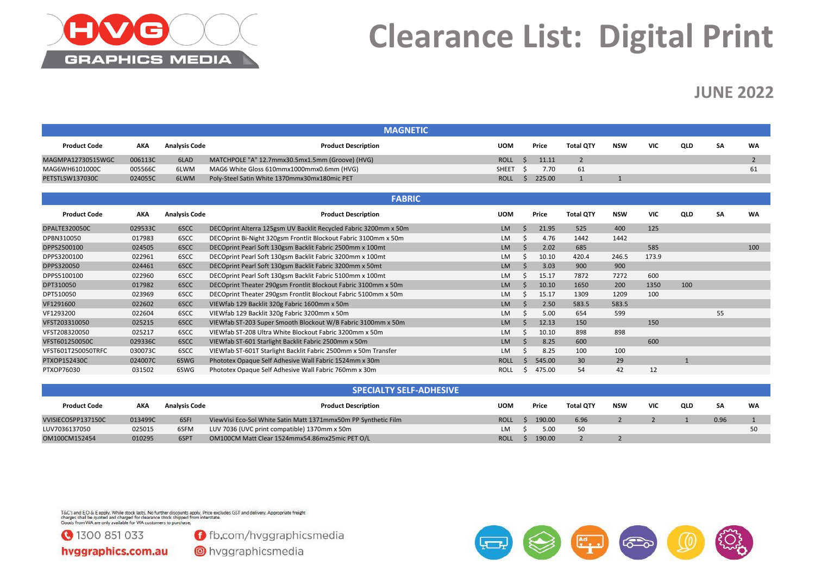

## **Clearance List: Digital Print**

#### **JUNE 2022**

|                      |            |                      | <b>MAGNETIC</b>                                                  |              |             |        |                  |              |            |     |           |                          |
|----------------------|------------|----------------------|------------------------------------------------------------------|--------------|-------------|--------|------------------|--------------|------------|-----|-----------|--------------------------|
| <b>Product Code</b>  | <b>AKA</b> | <b>Analysis Code</b> | <b>Product Description</b>                                       | <b>UOM</b>   |             | Price  | <b>Total QTY</b> | <b>NSW</b>   | <b>VIC</b> | QLD | <b>SA</b> | <b>WA</b>                |
| MAGMPA12730515WGC    | 006113C    | 6LAD                 | MATCHPOLE "A" 12.7mmx30.5mx1.5mm (Groove) (HVG)                  | <b>ROLL</b>  | $\zeta$     | 11.11  | $\overline{2}$   |              |            |     |           | $\overline{\phantom{0}}$ |
| MAG6WH6101000C       | 005566C    | 6LWM                 | MAG6 White Gloss 610mmx1000mmx0.6mm (HVG)                        | <b>SHEET</b> | -S          | 7.70   | 61               |              |            |     |           | 61                       |
| PETSTLSW137030C      | 024055C    | 6LWM                 | Poly-Steel Satin White 1370mmx30mx180mic PET                     | <b>ROLL</b>  | S.          | 225.00 | $\mathbf{1}$     | $\mathbf{1}$ |            |     |           |                          |
|                      |            |                      | <b>FABRIC</b>                                                    |              |             |        |                  |              |            |     |           |                          |
| <b>Product Code</b>  | <b>AKA</b> | <b>Analysis Code</b> | <b>Product Description</b>                                       | <b>UOM</b>   |             | Price  | <b>Total QTY</b> | <b>NSW</b>   | <b>VIC</b> | QLD | <b>SA</b> | <b>WA</b>                |
| <b>DPALTE320050C</b> | 029533C    | 6SCC                 | DECOprint Alterra 125gsm UV Backlit Recycled Fabric 3200mm x 50m | <b>LM</b>    | $\zeta$     | 21.95  | 525              | 400          | 125        |     |           |                          |
| DPBN310050           | 017983     | 6SCC                 | DECOprint Bi-Night 320gsm Frontlit Blockout Fabric 3100mm x 50m  | LM           |             | 4.76   | 1442             | 1442         |            |     |           |                          |
| DPPS2500100          | 024505     | 6SCC                 | DECOprint Pearl Soft 130gsm Backlit Fabric 2500mm x 100mt        | <b>LM</b>    |             | 2.02   | 685              |              | 585        |     |           | 100                      |
| DPPS3200100          | 022961     | 6SCC                 | DECOprint Pearl Soft 130gsm Backlit Fabric 3200mm x 100mt        | LM           |             | 10.10  | 420.4            | 246.5        | 173.9      |     |           |                          |
| DPPS320050           | 024461     | 6SCC                 | DECOprint Pearl Soft 130gsm Backlit Fabric 3200mm x 50mt         | <b>LM</b>    |             | 3.03   | 900              | 900          |            |     |           |                          |
| DPPS5100100          | 022960     | 6SCC                 | DECOprint Pearl Soft 130gsm Backlit Fabric 5100mm x 100mt        | <b>LM</b>    |             | 15.17  | 7872             | 7272         | 600        |     |           |                          |
| DPT310050            | 017982     | 6SCC                 | DECOprint Theater 290gsm Frontlit Blockout Fabric 3100mm x 50m   | <b>LM</b>    | $\varsigma$ | 10.10  | 1650             | 200          | 1350       | 100 |           |                          |
| DPT510050            | 023969     | 6SCC                 | DECOprint Theater 290gsm Frontlit Blockout Fabric 5100mm x 50m   | <b>LM</b>    |             | 15.17  | 1309             | 1209         | 100        |     |           |                          |
| VF1291600            | 022602     | 6SCC                 | VIEWfab 129 Backlit 320g Fabric 1600mm x 50m                     | <b>LM</b>    |             | 2.50   | 583.5            | 583.5        |            |     |           |                          |
| VF1293200            | 022604     | 6SCC                 | VIEWfab 129 Backlit 320g Fabric 3200mm x 50m                     | LM           |             | 5.00   | 654              | 599          |            |     | 55        |                          |
| VFST203310050        | 025215     | 6SCC                 | VIEWfab ST-203 Super Smooth Blockout W/B Fabric 3100mm x 50m     | <b>LM</b>    |             | 12.13  | 150              |              | 150        |     |           |                          |
| VFST208320050        | 025217     | 6SCC                 | VIEWfab ST-208 Ultra White Blockout Fabric 3200mm x 50m          | LM           |             | 10.10  | 898              | 898          |            |     |           |                          |
| VFST601250050C       | 029336C    | 6SCC                 | VIEWfab ST-601 Starlight Backlit Fabric 2500mm x 50m             | <b>LM</b>    |             | 8.25   | 600              |              | 600        |     |           |                          |
| VFST601T250050TRFC   | 030073C    | 6SCC                 | VIEWfab ST-601T Starlight Backlit Fabric 2500mm x 50m Transfer   | <b>LM</b>    |             | 8.25   | 100              | 100          |            |     |           |                          |
| PTXOP152430C         | 024007C    | 6SWG                 | Phototex Opaque Self Adhesive Wall Fabric 1524mm x 30m           | <b>ROLL</b>  | $\varsigma$ | 545.00 | 30               | 29           |            |     |           |                          |
| PTXOP76030           | 031502     | 6SWG                 | Phototex Opaque Self Adhesive Wall Fabric 760mm x 30m            | <b>ROLL</b>  | S.          | 475.00 | 54               | 42           | 12         |     |           |                          |

|                     |         |                      | <b>SPECIALTY SELF-ADHESIVE</b>                                 |             |       |        |                  |            |     |     |           |    |
|---------------------|---------|----------------------|----------------------------------------------------------------|-------------|-------|--------|------------------|------------|-----|-----|-----------|----|
| <b>Product Code</b> | AKA     | <b>Analysis Code</b> | <b>Product Description</b>                                     | <b>UOM</b>  | Price |        | <b>Total OTY</b> | <b>NSW</b> | VIC | QLD | <b>SA</b> | WA |
| VVISIECOSPP137150C  | 013499C | 6SFI                 | ViewVisi Eco-Sol White Satin Matt 1371mmx50m PP Synthetic Film | <b>ROLL</b> |       | 190.00 | 6.96             |            |     |     | 0.96      |    |
| LUV7036137050       | 025015  | 6SFM                 | LUV 7036 (UVC print compatible) 1370mm x 50m                   | LM \$       |       | 5.00   | 50               |            |     |     |           |    |
| OM100CM152454       | 010295  | 6SPT                 | OM100CM Matt Clear 1524mmx54.86mx25mic PET O/L                 | <b>ROLL</b> |       | 190.00 |                  |            |     |     |           |    |

T&C's and E.O & E apply. While stock lasts. No further discounts apply. Price excludes GST and delivery. Appropriate freight<br>charges shall be quoted and charged for clearance stock shipped from interstate.<br>Goods from WA ar

3100 851 033

**O** fb.com/hvggraphicsmedia

hvggraphics.com.au

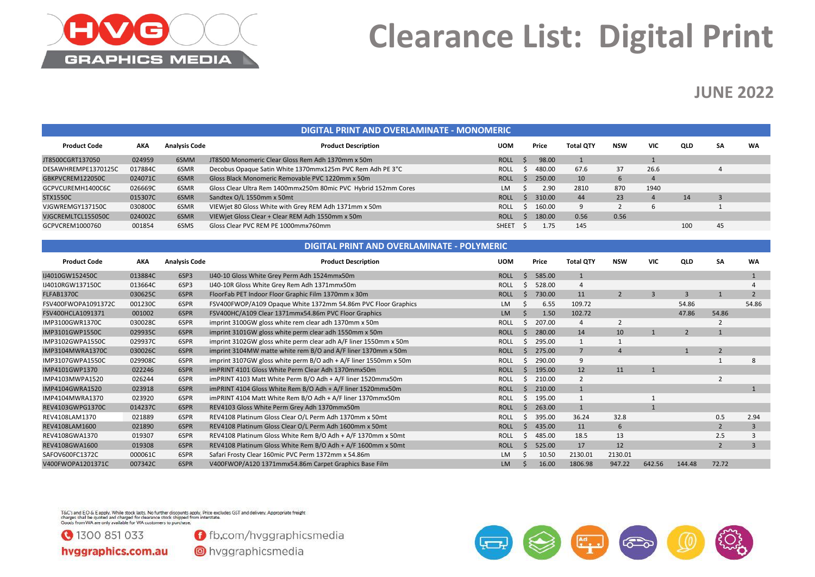

### **Clearance List: Digital Print**

#### **JUNE 2022**

|                     |            |                      | DIGITAL PRINT AND OVERLAMINATE - MONOMERIC                     |              |        |                  |            |            |            |    |    |
|---------------------|------------|----------------------|----------------------------------------------------------------|--------------|--------|------------------|------------|------------|------------|----|----|
| <b>Product Code</b> | <b>AKA</b> | <b>Analysis Code</b> | <b>Product Description</b>                                     | <b>UOM</b>   | Price  | <b>Total OTY</b> | <b>NSW</b> | <b>VIC</b> | <b>QLD</b> | SΑ | WA |
| JT8500CGRT137050    | 024959     | 6SMM                 | JT8500 Monomeric Clear Gloss Rem Adh 1370mm x 50m              | <b>ROLL</b>  | 98.00  |                  |            |            |            |    |    |
| DESAWHREMPE1370125C | 017884C    | 6SMR                 | Decobus Opaque Satin White 1370mmx125m PVC Rem Adh PE 3"C      | <b>ROLL</b>  | 480.00 | 67.6             | 37         | 26.6       |            |    |    |
| GBKPVCREM122050C    | 024071C    | 6SMR                 | Gloss Black Monomeric Removable PVC 1220mm x 50m               | <b>ROLL</b>  | 250.00 | 10               |            |            |            |    |    |
| GCPVCUREMH1400C6C   | 026669C    | 6SMR                 | Gloss Clear Ultra Rem 1400mmx250m 80mic PVC Hybrid 152mm Cores | <b>LM</b>    | 2.90   | 2810             | 870        | 1940       |            |    |    |
| <b>STX1550C</b>     | 015307C    | 6SMR                 | Sandtex O/L 1550mm x 50mt                                      | <b>ROLL</b>  | 310.00 | 44               | 23         | 4          | 14         |    |    |
| VJGWREMGY137150C    | 030800C    | 6SMR                 | VIEWjet 80 Gloss White with Grey REM Adh 1371mm x 50m          | <b>ROLL</b>  | 160.00 | 9                |            |            |            |    |    |
| VJGCREMLTCL155050C  | 024002C    | 6SMR                 | VIEWiet Gloss Clear + Clear REM Adh 1550mm x 50m               | <b>ROLL</b>  | 180.00 | 0.56             | 0.56       |            |            |    |    |
| GCPVCREM1000760     | 001854     | 6SMS                 | Gloss Clear PVC REM PE 1000mmx760mm                            | <b>SHEET</b> | 1.75   | 145              |            |            | 100        | 45 |    |
|                     |            |                      |                                                                |              |        |                  |            |            |            |    |    |

#### **DIGITAL PRINT AND OVERLAMINATE - POLYMERIC**

| <b>Product Code</b> | AKA     | <b>Analysis Code</b> | <b>Product Description</b>                                       | UOM         |    | Price  | <b>Total QTY</b> | <b>NSW</b>     | <b>VIC</b>     | <b>QLD</b>     | SA             | <b>WA</b>    |
|---------------------|---------|----------------------|------------------------------------------------------------------|-------------|----|--------|------------------|----------------|----------------|----------------|----------------|--------------|
| IJ4010GW152450C     | 013884C | 6SP3                 | IJ40-10 Gloss White Grey Perm Adh 1524mmx50m                     | <b>ROLL</b> | -S | 585.00 |                  |                |                |                |                |              |
| IJ4010RGW137150C    | 013664C | 6SP3                 | IJ40-10R Gloss White Grey Rem Adh 1371mmx50m                     | <b>ROLL</b> |    | 528.00 | $\overline{4}$   |                |                |                |                |              |
| FLFAB1370C          | 030625C | 6SPR                 | FloorFab PET Indoor Floor Graphic Film 1370mm x 30m              | <b>ROLL</b> | S  | 730.00 | 11               | $\overline{2}$ | $\overline{3}$ | $\overline{3}$ |                |              |
| FSV400FWOPA1091372C | 001230C | 6SPR                 | FSV400FWOP/A109 Opaque White 1372mm 54.86m PVC Floor Graphics    | LM          |    | 6.55   | 109.72           |                |                | 54.86          |                | 54.86        |
| FSV400HCLA1091371   | 001002  | 6SPR                 | FSV400HC/A109 Clear 1371mmx54.86m PVC Floor Graphics             | <b>LM</b>   |    | 1.50   | 102.72           |                |                | 47.86          | 54.86          |              |
| IMP3100GWR1370C     | 030028C | 6SPR                 | imprint 3100GW gloss white rem clear adh 1370mm x 50m            | <b>ROLL</b> |    | 207.00 | $\overline{4}$   | $\overline{2}$ |                |                |                |              |
| IMP3101GWP1550C     | 029935C | 6SPR                 | imprint 3101GW gloss white perm clear adh 1550mm x 50m           | <b>ROLL</b> |    | 280.00 | 14               | 10             |                | $\overline{2}$ |                |              |
| IMP3102GWPA1550C    | 029937C | 6SPR                 | imprint 3102GW gloss white perm clear adh A/F liner 1550mm x 50m | <b>ROLL</b> |    | 295.00 |                  |                |                |                |                |              |
| IMP3104MWRA1370C    | 030026C | 6SPR                 | imprint 3104MW matte white rem B/O and A/F liner 1370mm x 50m    | <b>ROLL</b> |    | 275.00 | $\overline{7}$   |                |                |                | $\overline{2}$ |              |
| IMP3107GWPA1550C    | 029908C | 6SPR                 | imprint 3107GW gloss white perm B/O adh + A/F liner 1550mm x 50m | <b>ROLL</b> |    | 290.00 | 9                |                |                |                |                | 8            |
| IMP4101GWP1370      | 022246  | 6SPR                 | imPRINT 4101 Gloss White Perm Clear Adh 1370mmx50m               | <b>ROLL</b> |    | 195.00 | 12               | 11             |                |                |                |              |
| IMP4103MWPA1520     | 026244  | 6SPR                 | imPRINT 4103 Matt White Perm B/O Adh + A/F liner 1520mmx50m      | <b>ROLL</b> |    | 210.00 | 2                |                |                |                |                |              |
| IMP4104GWRA1520     | 023918  | 6SPR                 | imPRINT 4104 Gloss White Rem B/O Adh + A/F liner 1520mmx50m      | <b>ROLL</b> |    | 210.00 |                  |                |                |                |                |              |
| IMP4104MWRA1370     | 023920  | 6SPR                 | imPRINT 4104 Matt White Rem B/O Adh + A/F liner 1370mmx50m       | <b>ROLL</b> | È  | 195.00 |                  |                |                |                |                |              |
| REV4103GWPG1370C    | 014237C | 6SPR                 | REV4103 Gloss White Perm Grey Adh 1370mmx50m                     | <b>ROLL</b> |    | 263.00 |                  |                |                |                |                |              |
| REV4108LAM1370      | 021889  | 6SPR                 | REV4108 Platinum Gloss Clear O/L Perm Adh 1370mm x 50mt          | <b>ROLL</b> |    | 395.00 | 36.24            | 32.8           |                |                | 0.5            | 2.94         |
| REV4108LAM1600      | 021890  | 6SPR                 | REV4108 Platinum Gloss Clear O/L Perm Adh 1600mm x 50mt          | <b>ROLL</b> | S  | 435.00 | 11               | 6              |                |                | $\overline{2}$ | 3            |
| REV4108GWA1370      | 019307  | 6SPR                 | REV4108 Platinum Gloss White Rem B/O Adh + A/F 1370mm x 50mt     | <b>ROLL</b> |    | 485.00 | 18.5             | 13             |                |                | 2.5            |              |
| REV4108GWA1600      | 019308  | 6SPR                 | REV4108 Platinum Gloss White Rem B/O Adh + A/F 1600mm x 50mt     | <b>ROLL</b> |    | 525.00 | 17               | 12             |                |                | $\overline{2}$ | $\mathbf{R}$ |
| SAFOV600FC1372C     | 000061C | 6SPR                 | Safari Frosty Clear 160mic PVC Perm 1372mm x 54.86m              | LM          |    | 10.50  | 2130.01          | 2130.01        |                |                |                |              |
| V400FWOPA1201371C   | 007342C | 6SPR                 | V400FWOP/A120 1371mmx54.86m Carpet Graphics Base Film            | LM          |    | 16.00  | 1806.98          | 947.22         | 642.56         | 144.48         | 72.72          |              |

T&C's and E.O & E apply. While stock lasts. No further discounts apply. Price excludes GST and delivery. Appropriate freight<br>charges shall be quoted and charged for clearance stock shipped from interstate.<br>Goods from WA ar

3100 851 033 hvggraphics.com.au **O** fb.com/hvggraphicsmedia

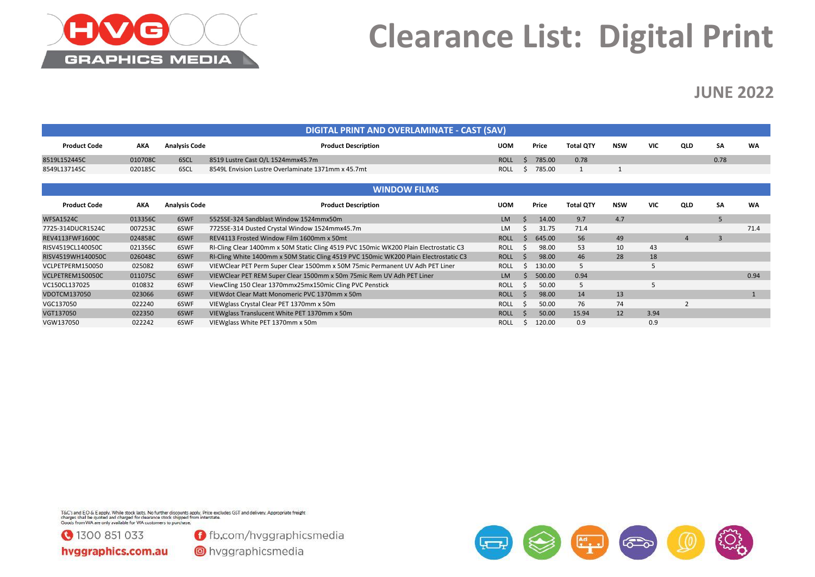

### **Clearance List: Digital Print**

#### **JUNE 2022**

|                     |            |                      | DIGITAL PRINT AND OVERLAMINATE - CAST (SAV)                                           |             |             |        |                  |     |            |                |           |           |
|---------------------|------------|----------------------|---------------------------------------------------------------------------------------|-------------|-------------|--------|------------------|-----|------------|----------------|-----------|-----------|
| <b>Product Code</b> | <b>AKA</b> | <b>Analysis Code</b> | <b>Product Description</b>                                                            | <b>UOM</b>  |             | Price  | <b>Total QTY</b> | NSW | <b>VIC</b> | <b>QLD</b>     | <b>SA</b> | <b>WA</b> |
| 8519L152445C        | 010708C    | 6SCL                 | 8519 Lustre Cast O/L 1524mmx45.7m                                                     | <b>ROLL</b> | -S          | 785.00 | 0.78             |     |            |                | 0.78      |           |
| 8549L137145C        | 020185C    | 6SCL                 | 8549L Envision Lustre Overlaminate 1371mm x 45.7mt                                    | <b>ROLL</b> |             | 785.00 |                  |     |            |                |           |           |
|                     |            |                      |                                                                                       |             |             |        |                  |     |            |                |           |           |
|                     |            |                      | <b>WINDOW FILMS</b>                                                                   |             |             |        |                  |     |            |                |           |           |
| <b>Product Code</b> | <b>AKA</b> | <b>Analysis Code</b> | <b>Product Description</b>                                                            | <b>UOM</b>  |             | Price  | <b>Total QTY</b> | NSW | <b>VIC</b> | QLD            | <b>SA</b> | <b>WA</b> |
| <b>WFSA1524C</b>    | 013356C    | 6SWF                 | 55255E-324 Sandblast Window 1524mmx50m                                                | <b>LM</b>   |             | 14.00  | 9.7              | 4.7 |            |                | 5         |           |
| 7725-314DUCR1524C   | 007253C    | 6SWF                 | 7725SE-314 Dusted Crystal Window 1524mmx45.7m                                         | <b>LM</b>   |             | 31.75  | 71.4             |     |            |                |           | 71.4      |
| REV4113FWF1600C     | 024858C    | 6SWF                 | REV4113 Frosted Window Film 1600mm x 50mt                                             | <b>ROLL</b> | -S          | 645.00 | 56               | 49  |            | $\overline{4}$ | 3         |           |
| RISV4519CL140050C   | 021356C    | 6SWF                 | RI-Cling Clear 1400mm x 50M Static Cling 4519 PVC 150mic WK200 Plain Electrostatic C3 | <b>ROLL</b> | -S          | 98.00  | 53               | 10  | 43         |                |           |           |
| RISV4519WH140050C   | 026048C    | 6SWF                 | RI-Cling White 1400mm x 50M Static Cling 4519 PVC 150mic WK200 Plain Electrostatic C3 | <b>ROLL</b> | S.          | 98.00  | 46               | 28  | 18         |                |           |           |
| VCLPETPERM150050    | 025082     | 6SWF                 | VIEWClear PET Perm Super Clear 1500mm x 50M 75mic Permanent UV Adh PET Liner          | <b>ROLL</b> |             | 130.00 | .5               |     |            |                |           |           |
| VCLPETREM150050C    | 011075C    | 6SWF                 | VIEWClear PET REM Super Clear 1500mm x 50m 75mic Rem UV Adh PET Liner                 | <b>LM</b>   |             | 500.00 | 0.94             |     |            |                |           | 0.94      |
| VC150CL137025       | 010832     | 6SWF                 | ViewCling 150 Clear 1370mmx25mx150mic Cling PVC Penstick                              | <b>ROLL</b> |             | 50.00  | 5                |     |            |                |           |           |
| <b>VDOTCM137050</b> | 023066     | 6SWF                 | VIEWdot Clear Matt Monomeric PVC 1370mm x 50m                                         | <b>ROLL</b> | $\varsigma$ | 98.00  | 14               | 13  |            |                |           |           |
| VGC137050           | 022240     | 6SWF                 | VIEWglass Crystal Clear PET 1370mm x 50m                                              | <b>ROLL</b> |             | 50.00  | 76               | 74  |            |                |           |           |
| VGT137050           | 022350     | 6SWF                 | VIEWglass Translucent White PET 1370mm x 50m                                          | <b>ROLL</b> | $\varsigma$ | 50.00  | 15.94            | 12  | 3.94       |                |           |           |
| VGW137050           | 022242     | 6SWF                 | VIEWglass White PET 1370mm x 50m                                                      | <b>ROLL</b> |             | 120.00 | 0.9              |     | 0.9        |                |           |           |

T&C's and E.O & E apply. While stock lasts. No further discounts apply. Price excludes GST and delivery. Appropriate freight<br>charges shall be quoted and charged for clearance stock shipped from interstate.<br>Goods from WA ar



**O** fb.com/hvggraphicsmedia

hvggraphics.com.au

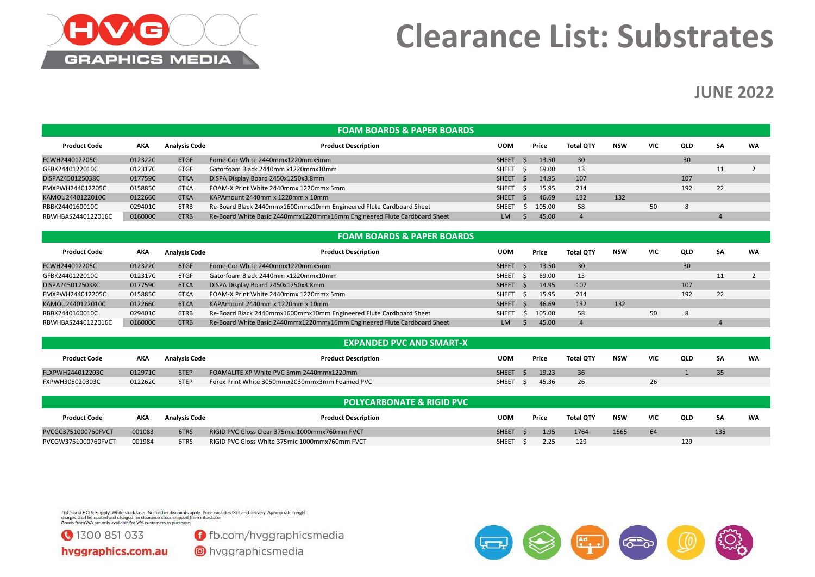

### **Clearance List: Substrates**

#### **JUNE 2022**

|                     |         |                      | <b>FOAM BOARDS &amp; PAPER BOARDS</b>                                    |              |                          |        |                  |            |            |     |           |           |
|---------------------|---------|----------------------|--------------------------------------------------------------------------|--------------|--------------------------|--------|------------------|------------|------------|-----|-----------|-----------|
| <b>Product Code</b> | АКА     | <b>Analysis Code</b> | <b>Product Description</b>                                               | <b>UOM</b>   |                          | Price  | <b>Total QTY</b> | <b>NSW</b> | <b>VIC</b> | QLD | <b>SA</b> | <b>WA</b> |
| FCWH244012205C      | 012322C | 6TGF                 | Fome-Cor White 2440mmx1220mmx5mm                                         | <b>SHEET</b> |                          | 13.50  | 30               |            |            | 30  |           |           |
| GFBK2440122010C     | 012317C | 6TGF                 | Gatorfoam Black 2440mm x1220mmx10mm                                      | <b>SHEET</b> | - S                      | 69.00  | 13               |            |            |     | 11        |           |
| DISPA2450125038C    | 017759C | 6TKA                 | DISPA Display Board 2450x1250x3.8mm                                      | <b>SHEET</b> |                          | 14.95  | 107              |            |            | 107 |           |           |
| FMXPWH244012205C    | 015885C | 6TKA                 | FOAM-X Print White 2440mmx 1220mmx 5mm                                   | <b>SHEET</b> | - 5                      | 15.95  | 214              |            |            | 192 | 22        |           |
| KAMOU2440122010C    | 012266C | 6TKA                 | KAPAmount 2440mm x 1220mm x 10mm                                         | <b>SHEET</b> | $\overline{\phantom{a}}$ | 46.69  | 132              | 132        |            |     |           |           |
| RBBK2440160010C     | 029401C | 6TRB                 | Re-Board Black 2440mmx1600mmx10mm Engineered Flute Cardboard Sheet       | <b>SHEET</b> |                          | 105.00 | 58               |            | 50         | 8   |           |           |
| RBWHBAS2440122016C  | 016000C | 6TRB                 | Re-Board White Basic 2440mmx1220mmx16mm Engineered Flute Cardboard Sheet | LM           |                          | 45.00  |                  |            |            |     |           |           |

|  |  | <b>FOAM BOARDS &amp; PAPER BOARDS</b> |  |
|--|--|---------------------------------------|--|
|--|--|---------------------------------------|--|

| <b>Product Code</b> | AKA     | <b>Analysis Code</b> | <b>Product Description</b>                                               | <b>UOM</b>   | Price  | <b>Total QTY</b> | <b>NSW</b> | <b>VIC</b> | <b>QLD</b> | <b>SA</b> | WA |
|---------------------|---------|----------------------|--------------------------------------------------------------------------|--------------|--------|------------------|------------|------------|------------|-----------|----|
| FCWH244012205C      | 012322C | 6TGF                 | Fome-Cor White 2440mmx1220mmx5mm                                         | <b>SHEET</b> | 13.50  | 30               |            |            | 30         |           |    |
| GFBK2440122010C     | 012317C | 6TGF                 | Gatorfoam Black 2440mm x1220mmx10mm                                      | <b>SHEET</b> | 69.00  | 13               |            |            |            |           |    |
| DISPA2450125038C    | 017759C | 6TKA                 | DISPA Display Board 2450x1250x3.8mm                                      | <b>SHEET</b> | 14.95  | 107              |            |            | 107        |           |    |
| FMXPWH244012205C    | 015885C | 6TKA                 | FOAM-X Print White 2440mmx 1220mmx 5mm                                   | <b>SHEET</b> | 15.95  | 214              |            |            | 192        | 22        |    |
| KAMOU2440122010C    | 012266C | 6TKA                 | KAPAmount 2440mm x 1220mm x 10mm                                         | <b>SHEET</b> | 46.69  | 132              | 132        |            |            |           |    |
| RBBK2440160010C     | 029401C | 6TRB                 | Re-Board Black 2440mmx1600mmx10mm Engineered Flute Cardboard Sheet       | <b>SHEET</b> | 105.00 | 58               |            | 50         |            |           |    |
| RBWHBAS2440122016C  | 016000C | 6TRB                 | Re-Board White Basic 2440mmx1220mmx16mm Engineered Flute Cardboard Sheet | LM           | 45.00  |                  |            |            |            |           |    |

|                     |         |                      | <b>EXPANDED PVC AND SMART-X</b>                |              |       |                  |            |     |            |           |           |
|---------------------|---------|----------------------|------------------------------------------------|--------------|-------|------------------|------------|-----|------------|-----------|-----------|
| <b>Product Code</b> | AKA     | <b>Analysis Code</b> | <b>Product Description</b>                     | <b>UOM</b>   | Price | <b>Total OTY</b> | <b>NSW</b> | VIC | <b>QLD</b> | <b>SA</b> | <b>WA</b> |
| FLXPWH244012203C    | 012971C | 6TEP                 | FOAMALITE XP White PVC 3mm 2440mmx1220mm       | <b>SHEET</b> | 19.23 | 36               |            |     |            | 35        |           |
| FXPWH305020303C     | 012262C | 6TEP                 | Forex Print White 3050mmx2030mmx3mm Foamed PVC | <b>SHEET</b> | 45.36 | 26               |            | 26  |            |           |           |

|                     |        |                      | <b>POLYCARBONATE &amp; RIGID PVC</b>           |              |       |                  |            |            |     |           |           |
|---------------------|--------|----------------------|------------------------------------------------|--------------|-------|------------------|------------|------------|-----|-----------|-----------|
| <b>Product Code</b> | AKA    | <b>Analysis Code</b> | <b>Product Description</b>                     | <b>UOM</b>   | Price | <b>Total OTY</b> | <b>NSW</b> | <b>VIC</b> | QLD | <b>SA</b> | <b>WA</b> |
| PVCGC3751000760FVCT | 001083 | 6TRS                 | RIGID PVC Gloss Clear 375mic 1000mmx760mm FVCT | <b>SHEET</b> | 1.95  | 1764             | 1565       |            |     | 135       |           |
| PVCGW3751000760FVCT | 001984 | 6TRS                 | RIGID PVC Gloss White 375mic 1000mmx760mm FVCT | <b>SHEET</b> | 2.25  | 129              |            |            | 129 |           |           |

T&C's and E.O & E apply. While stock lasts. No further discounts apply. Price excludes GST and delivery. Appropriate freight<br>charges shall be quoted and charged for clearance stock shipped from interstate.<br>Goods from WA ar



**O** fb.com/hvggraphicsmedia

hvggraphics.com.au